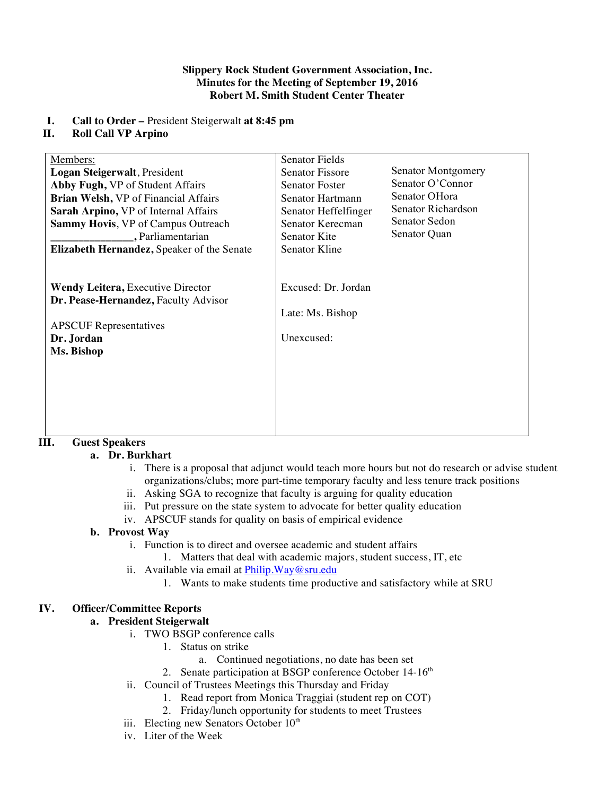#### **Slippery Rock Student Government Association, Inc. Minutes for the Meeting of September 19, 2016 Robert M. Smith Student Center Theater**

### **I. Call to Order –** President Steigerwalt **at 8:45 pm**

### **II. Roll Call VP Arpino**

| Members:<br>Logan Steigerwalt, President<br>Abby Fugh, VP of Student Affairs<br>Brian Welsh, VP of Financial Affairs<br>Sarah Arpino, VP of Internal Affairs<br><b>Sammy Hovis, VP of Campus Outreach</b><br>, Parliamentarian<br>Elizabeth Hernandez, Speaker of the Senate | <b>Senator Fields</b><br><b>Senator Fissore</b><br><b>Senator Foster</b><br>Senator Hartmann<br>Senator Heffelfinger<br>Senator Kerecman<br>Senator Kite<br>Senator Kline | Senator Montgomery<br>Senator O'Connor<br>Senator OHora<br>Senator Richardson<br>Senator Sedon<br>Senator Quan |
|------------------------------------------------------------------------------------------------------------------------------------------------------------------------------------------------------------------------------------------------------------------------------|---------------------------------------------------------------------------------------------------------------------------------------------------------------------------|----------------------------------------------------------------------------------------------------------------|
| <b>Wendy Leitera, Executive Director</b><br>Dr. Pease-Hernandez, Faculty Advisor<br><b>APSCUF</b> Representatives<br>Dr. Jordan<br>Ms. Bishop                                                                                                                                | Excused: Dr. Jordan<br>Late: Ms. Bishop<br>Unexcused:                                                                                                                     |                                                                                                                |

### **III. Guest Speakers**

### **a. Dr. Burkhart**

- i. There is a proposal that adjunct would teach more hours but not do research or advise student organizations/clubs; more part-time temporary faculty and less tenure track positions
- ii. Asking SGA to recognize that faculty is arguing for quality education
- iii. Put pressure on the state system to advocate for better quality education
- iv. APSCUF stands for quality on basis of empirical evidence

### **b. Provost Way**

- i. Function is to direct and oversee academic and student affairs
	- 1. Matters that deal with academic majors, student success, IT, etc
- ii. Available via email at Philip.Way@sru.edu
	- 1. Wants to make students time productive and satisfactory while at SRU

### **IV. Officer/Committee Reports**

### **a. President Steigerwalt**

- i. TWO BSGP conference calls
	- 1. Status on strike
		- a. Continued negotiations, no date has been set
	- 2. Senate participation at BSGP conference October 14-16<sup>th</sup>
- ii. Council of Trustees Meetings this Thursday and Friday
	- 1. Read report from Monica Traggiai (student rep on COT)
	- 2. Friday/lunch opportunity for students to meet Trustees
- iii. Electing new Senators October 10<sup>th</sup>
- iv. Liter of the Week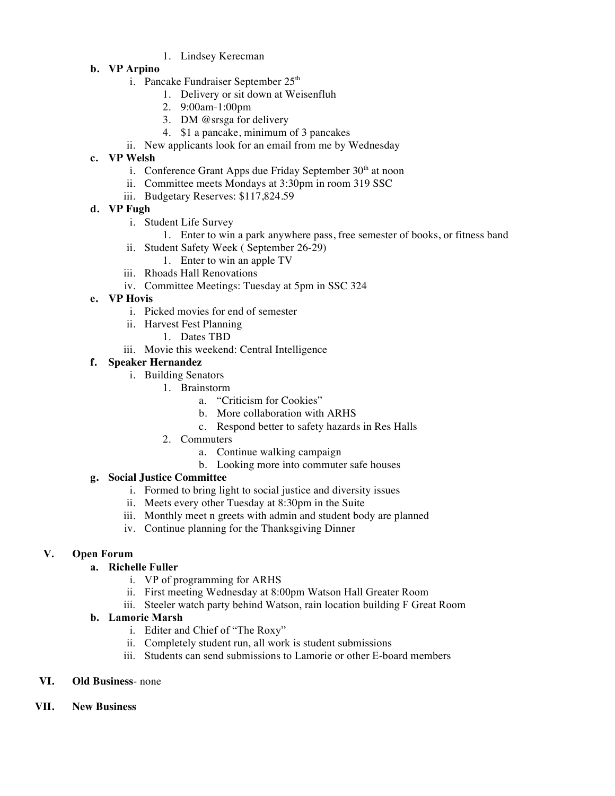1. Lindsey Kerecman

## **b. VP Arpino**

- i. Pancake Fundraiser September 25<sup>th</sup>
	- 1. Delivery or sit down at Weisenfluh
	- 2. 9:00am-1:00pm
	- 3. DM @srsga for delivery
	- 4. \$1 a pancake, minimum of 3 pancakes
- ii. New applicants look for an email from me by Wednesday

## **c. VP Welsh**

- i. Conference Grant Apps due Friday September  $30<sup>th</sup>$  at noon
- ii. Committee meets Mondays at 3:30pm in room 319 SSC
- iii. Budgetary Reserves: \$117,824.59

## **d. VP Fugh**

- i. Student Life Survey
	- 1. Enter to win a park anywhere pass, free semester of books, or fitness band
- ii. Student Safety Week ( September 26-29)
	- 1. Enter to win an apple TV
- iii. Rhoads Hall Renovations
- iv. Committee Meetings: Tuesday at 5pm in SSC 324

### **e. VP Hovis**

- i. Picked movies for end of semester
- ii. Harvest Fest Planning
	- 1. Dates TBD
- iii. Movie this weekend: Central Intelligence

## **f. Speaker Hernandez**

- i. Building Senators
	- 1. Brainstorm
		- a. "Criticism for Cookies"
		- b. More collaboration with ARHS
		- c. Respond better to safety hazards in Res Halls
	- 2. Commuters
		- a. Continue walking campaign
		- b. Looking more into commuter safe houses

# **g. Social Justice Committee**

- i. Formed to bring light to social justice and diversity issues
- ii. Meets every other Tuesday at 8:30pm in the Suite
- iii. Monthly meet n greets with admin and student body are planned
- iv. Continue planning for the Thanksgiving Dinner

# **V. Open Forum**

# **a. Richelle Fuller**

- i. VP of programming for ARHS
- ii. First meeting Wednesday at 8:00pm Watson Hall Greater Room
- iii. Steeler watch party behind Watson, rain location building F Great Room

### **b. Lamorie Marsh**

- i. Editer and Chief of "The Roxy"
- ii. Completely student run, all work is student submissions
- iii. Students can send submissions to Lamorie or other E-board members
- **VI. Old Business** none
- **VII. New Business**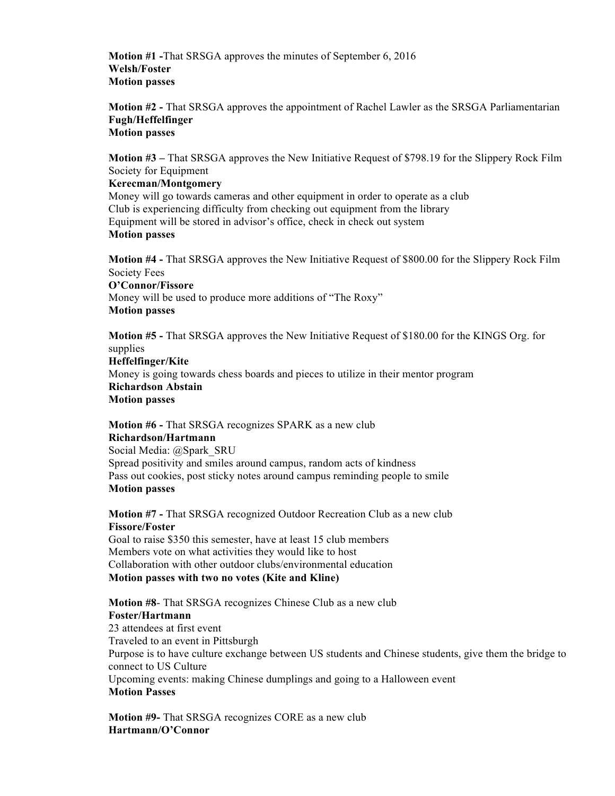**Motion #1 -**That SRSGA approves the minutes of September 6, 2016 **Welsh/Foster Motion passes** 

**Motion #2 -** That SRSGA approves the appointment of Rachel Lawler as the SRSGA Parliamentarian **Fugh/Heffelfinger Motion passes**

**Motion #3 –** That SRSGA approves the New Initiative Request of \$798.19 for the Slippery Rock Film Society for Equipment

### **Kerecman/Montgomery**

Money will go towards cameras and other equipment in order to operate as a club Club is experiencing difficulty from checking out equipment from the library Equipment will be stored in advisor's office, check in check out system **Motion passes**

**Motion #4 -** That SRSGA approves the New Initiative Request of \$800.00 for the Slippery Rock Film Society Fees

**O'Connor/Fissore**  Money will be used to produce more additions of "The Roxy" **Motion passes**

**Motion #5 -** That SRSGA approves the New Initiative Request of \$180.00 for the KINGS Org. for supplies

**Heffelfinger/Kite** Money is going towards chess boards and pieces to utilize in their mentor program **Richardson Abstain Motion passes**

**Motion #6 -** That SRSGA recognizes SPARK as a new club **Richardson/Hartmann** Social Media: @Spark\_SRU Spread positivity and smiles around campus, random acts of kindness Pass out cookies, post sticky notes around campus reminding people to smile **Motion passes** 

**Motion #7 -** That SRSGA recognized Outdoor Recreation Club as a new club **Fissore/Foster** Goal to raise \$350 this semester, have at least 15 club members

Members vote on what activities they would like to host Collaboration with other outdoor clubs/environmental education **Motion passes with two no votes (Kite and Kline)**

**Motion #8**- That SRSGA recognizes Chinese Club as a new club **Foster/Hartmann** 23 attendees at first event Traveled to an event in Pittsburgh Purpose is to have culture exchange between US students and Chinese students, give them the bridge to connect to US Culture Upcoming events: making Chinese dumplings and going to a Halloween event **Motion Passes** 

**Motion #9-** That SRSGA recognizes CORE as a new club **Hartmann/O'Connor**